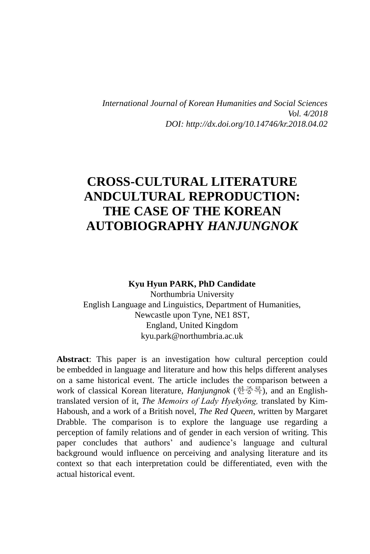*International Journal of Korean Humanities and Social Sciences Vol. 4/2018 DOI: http://dx.doi.org/10.14746/kr.2018.04.02*

# **CROSS-CULTURAL LITERATURE ANDCULTURAL REPRODUCTION: THE CASE OF THE KOREAN AUTOBIOGRAPHY** *HANJUNGNOK*

#### **Kyu Hyun PARK, PhD Candidate**

Northumbria University English Language and Linguistics, Department of Humanities, Newcastle upon Tyne, NE1 8ST, England, United Kingdom kyu.park@northumbria.ac.uk

**Abstract**: This paper is an investigation how cultural perception could be embedded in language and literature and how this helps different analyses on a same historical event. The article includes the comparison between a work of classical Korean literature, *Hanjungnok* (한중록), and an Englishtranslated version of it, *The Memoirs of Lady Hyekyŏng,* translated by Kim-Haboush, and a work of a British novel, *The Red Queen*, written by Margaret Drabble. The comparison is to explore the language use regarding a perception of family relations and of gender in each version of writing. This paper concludes that authors' and audience's language and cultural background would influence on perceiving and analysing literature and its context so that each interpretation could be differentiated, even with the actual historical event.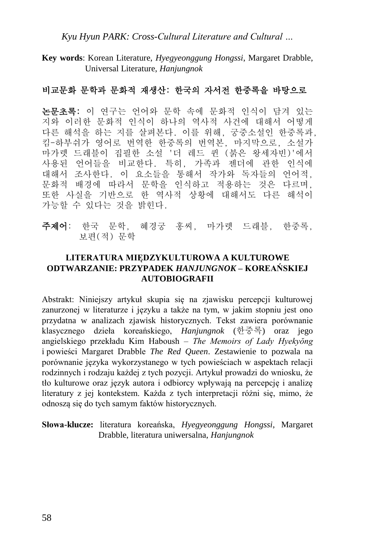*Kyu Hyun PARK: Cross-Cultural Literature and Cultural …*

**Key words**: Korean Literature, *Hyegyeonggung Hongssi*, Margaret Drabble, Universal Literature, *Hanjungnok*

### 비교문화 문학과 문화적 재생산: 한국의 자서전 한중록을 바탕으로

논문초록: 이 연구는 언어와 문학 속에 문화적 인식이 담겨 있는 지와 이러한 문화적 인식이 하나의 역사적 사건에 대해서 어떻게 다른 해석을 하는 지를 살펴본다. 이를 위해, 궁중소설인 한중록과, 킴-하부쉬가 영어로 번역한 한중록의 번역본, 마지막으로, 소설가 마가렛 드래블이 집필한 소설 '더 레드 퀸 (붉은 왕세자빈)'에서 사용된 언어들을 비교한다. 특히, 가족과 젠더에 관한 인식에 대해서 조사한다. 이 요소들을 통해서 작가와 독자들의 언어적, 문화적 배경에 따라서 문학을 인식하고 적용하는 것은 다르며, 또한 사실을 기반으로 한 역사적 상황에 대해서도 다른 해석이 가능할 수 있다는 것을 밝힌다.

주제어: 한국 문학, 혜경궁 홍씨, 마가렛 드래블, 한중록, 보편(적) 문학

#### **LITERATURA MIĘDZYKULTUROWA A KULTUROWE ODTWARZANIE: PRZYPADEK** *HANJUNGNOK* **– KOREAŃSKIEJ AUTOBIOGRAFII**

Abstrakt: Niniejszy artykuł skupia się na zjawisku percepcji kulturowej zanurzonej w literaturze i języku a także na tym, w jakim stopniu jest ono przydatna w analizach zjawisk historycznych. Tekst zawiera porównanie klasycznego dzieła koreańskiego, *Hanjungnok* (한중록) oraz jego angielskiego przekładu Kim Haboush – *The Memoirs of Lady Hyekyŏng* i powieści Margaret Drabble *The Red Queen*. Zestawienie to pozwala na porównanie języka wykorzystanego w tych powieściach w aspektach relacji rodzinnych i rodzaju każdej z tych pozycji. Artykuł prowadzi do wniosku, że tło kulturowe oraz język autora i odbiorcy wpływają na percepcję i analizę literatury z jej kontekstem. Każda z tych interpretacji różni się, mimo, że odnoszą się do tych samym faktów historycznych.

**Słowa-klucze:** literatura koreańska, *Hyegyeonggung Hongssi*, Margaret Drabble, literatura uniwersalna, *Hanjungnok*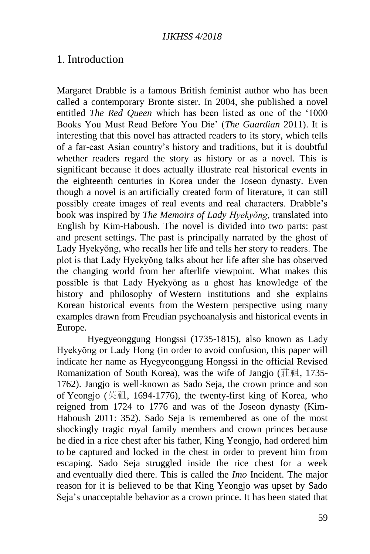### 1. Introduction

Margaret Drabble is a famous British feminist author who has been called a contemporary Bronte sister. In 2004, she published a novel entitled *The Red Queen* which has been listed as one of the '1000 Books You Must Read Before You Die' (*The Guardian* 2011). It is interesting that this novel has attracted readers to its story, which tells of a far-east Asian country's history and traditions, but it is doubtful whether readers regard the story as history or as a novel. This is significant because it does actually illustrate real historical events in the eighteenth centuries in Korea under the Joseon dynasty. Even though a novel is an artificially created form of literature, it can still possibly create images of real events and real characters. Drabble's book was inspired by *The Memoirs of Lady Hyekyŏng*, translated into English by Kim-Haboush. The novel is divided into two parts: past and present settings. The past is principally narrated by the ghost of Lady Hyekyŏng, who recalls her life and tells her story to readers. The plot is that Lady Hyekyŏng talks about her life after she has observed the changing world from her afterlife viewpoint. What makes this possible is that Lady Hyekyŏng as a ghost has knowledge of the history and philosophy of Western institutions and she explains Korean historical events from the Western perspective using many examples drawn from Freudian psychoanalysis and historical events in Europe.

Hyegyeonggung Hongssi (1735-1815), also known as Lady Hyekyŏng or Lady Hong (in order to avoid confusion, this paper will indicate her name as Hyegyeonggung Hongssi in the official Revised Romanization of South Korea), was the wife of Jangio (莊祖, 1735-1762). Jangjo is well-known as Sado Seja, the crown prince and son of Yeongjo (英祖, 1694-1776), the twenty-first king of Korea, who reigned from 1724 to 1776 and was of the Joseon dynasty (Kim-Haboush 2011: 352). Sado Seja is remembered as one of the most shockingly tragic royal family members and crown princes because he died in a rice chest after his father, King Yeongjo, had ordered him to be captured and locked in the chest in order to prevent him from escaping. Sado Seja struggled inside the rice chest for a week and eventually died there. This is called the *Imo* Incident. The major reason for it is believed to be that King Yeongjo was upset by Sado Seja's unacceptable behavior as a crown prince. It has been stated that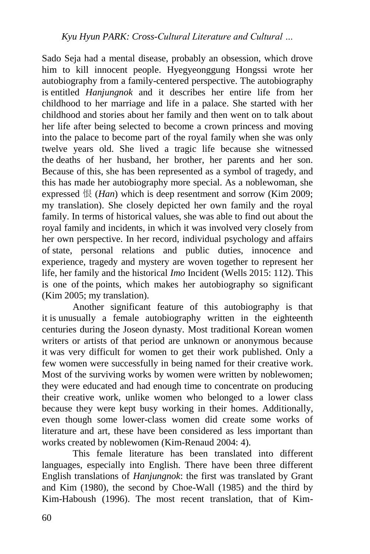Sado Seja had a mental disease, probably an obsession, which drove him to kill innocent people. Hyegyeonggung Hongssi wrote her autobiography from a family-centered perspective. The autobiography is entitled *Hanjungnok* and it describes her entire life from her childhood to her marriage and life in a palace. She started with her childhood and stories about her family and then went on to talk about her life after being selected to become a crown princess and moving into the palace to become part of the royal family when she was only twelve years old. She lived a tragic life because she witnessed the deaths of her husband, her brother, her parents and her son. Because of this, she has been represented as a symbol of tragedy, and this has made her autobiography more special. As a noblewoman, she expressed 恨 (*Han*) which is deep resentment and sorrow (Kim 2009; my translation). She closely depicted her own family and the royal family. In terms of historical values, she was able to find out about the royal family and incidents, in which it was involved very closely from her own perspective. In her record, individual psychology and affairs of state, personal relations and public duties, innocence and experience, tragedy and mystery are woven together to represent her life, her family and the historical *Imo* Incident (Wells 2015: 112). This is one of the points, which makes her autobiography so significant (Kim 2005; my translation).

Another significant feature of this autobiography is that it is unusually a female autobiography written in the eighteenth centuries during the Joseon dynasty. Most traditional Korean women writers or artists of that period are unknown or anonymous because it was very difficult for women to get their work published. Only a few women were successfully in being named for their creative work. Most of the surviving works by women were written by noblewomen; they were educated and had enough time to concentrate on producing their creative work, unlike women who belonged to a lower class because they were kept busy working in their homes. Additionally, even though some lower-class women did create some works of literature and art, these have been considered as less important than works created by noblewomen (Kim-Renaud 2004: 4).

This female literature has been translated into different languages, especially into English. There have been three different English translations of *Hanjungnok*: the first was translated by Grant and Kim (1980), the second by Choe-Wall (1985) and the third by Kim-Haboush (1996). The most recent translation, that of Kim-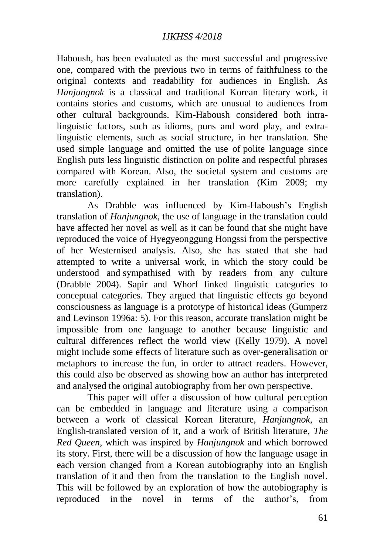Haboush, has been evaluated as the most successful and progressive one, compared with the previous two in terms of faithfulness to the original contexts and readability for audiences in English. As *Hanjungnok* is a classical and traditional Korean literary work, it contains stories and customs, which are unusual to audiences from other cultural backgrounds. Kim-Haboush considered both intralinguistic factors, such as idioms, puns and word play, and extralinguistic elements, such as social structure, in her translation. She used simple language and omitted the use of polite language since English puts less linguistic distinction on polite and respectful phrases compared with Korean. Also, the societal system and customs are more carefully explained in her translation (Kim 2009; my translation).

As Drabble was influenced by Kim-Haboush's English translation of *Hanjungnok*, the use of language in the translation could have affected her novel as well as it can be found that she might have reproduced the voice of Hyegyeonggung Hongssi from the perspective of her Westernised analysis. Also, she has stated that she had attempted to write a universal work, in which the story could be understood and sympathised with by readers from any culture (Drabble 2004). Sapir and Whorf linked linguistic categories to conceptual categories. They argued that linguistic effects go beyond consciousness as language is a prototype of historical ideas (Gumperz and Levinson 1996a: 5). For this reason, accurate translation might be impossible from one language to another because linguistic and cultural differences reflect the world view (Kelly 1979). A novel might include some effects of literature such as over-generalisation or metaphors to increase the fun, in order to attract readers. However, this could also be observed as showing how an author has interpreted and analysed the original autobiography from her own perspective.

This paper will offer a discussion of how cultural perception can be embedded in language and literature using a comparison between a work of classical Korean literature, *Hanjungnok*, an English-translated version of it, and a work of British literature, *The Red Queen*, which was inspired by *Hanjungnok* and which borrowed its story. First, there will be a discussion of how the language usage in each version changed from a Korean autobiography into an English translation of it and then from the translation to the English novel. This will be followed by an exploration of how the autobiography is reproduced in the novel in terms of the author's, from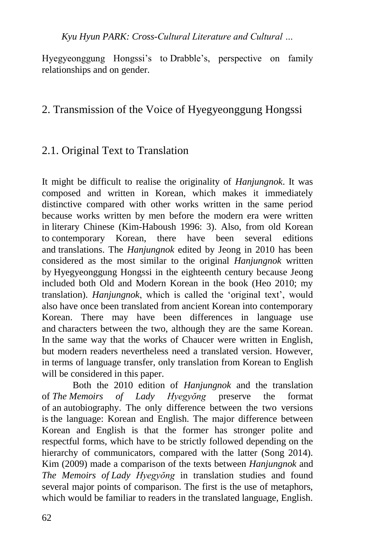*Kyu Hyun PARK: Cross-Cultural Literature and Cultural …*

Hyegyeonggung Hongssi's to Drabble's, perspective on family relationships and on gender.

# 2. Transmission of the Voice of Hyegyeonggung Hongssi

# 2.1. Original Text to Translation

It might be difficult to realise the originality of *Hanjungnok*. It was composed and written in Korean, which makes it immediately distinctive compared with other works written in the same period because works written by men before the modern era were written in literary Chinese (Kim-Haboush 1996: 3). Also, from old Korean to contemporary Korean, there have been several editions and translations. The *Hanjungnok* edited by Jeong in 2010 has been considered as the most similar to the original *Hanjungnok* written by Hyegyeonggung Hongssi in the eighteenth century because Jeong included both Old and Modern Korean in the book (Heo 2010; my translation). *Hanjungnok*, which is called the 'original text', would also have once been translated from ancient Korean into contemporary Korean. There may have been differences in language use and characters between the two, although they are the same Korean. In the same way that the works of Chaucer were written in English, but modern readers nevertheless need a translated version. However, in terms of language transfer, only translation from Korean to English will be considered in this paper.

Both the 2010 edition of *Hanjungnok* and the translation of *The Memoirs of Lady Hyegyŏng* preserve the format of an autobiography. The only difference between the two versions is the language: Korean and English. The major difference between Korean and English is that the former has stronger polite and respectful forms, which have to be strictly followed depending on the hierarchy of communicators, compared with the latter (Song 2014). Kim (2009) made a comparison of the texts between *Hanjungnok* and *The Memoirs of Lady Hyegyŏng* in translation studies and found several major points of comparison. The first is the use of metaphors, which would be familiar to readers in the translated language, English.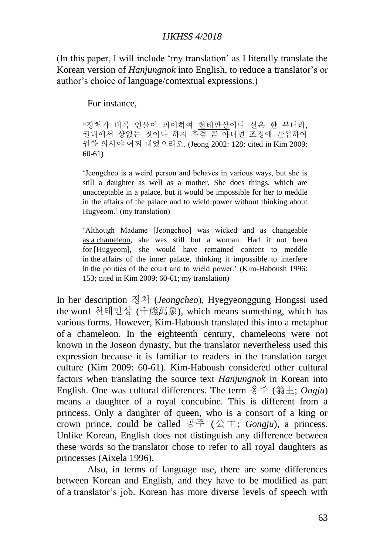(In this paper, I will include 'my translation' as I literally translate the Korean version of *Hanjungnok* into English, to reduce a translator's or author's choice of language/contextual expressions.)

### For instance,

"정처가 비록 인물이 괴이하여 천태만상이나 실은 한 부녀라, 궐내에서 상없는 짓이나 하지 후겸 곧 아니면 조정에 간섭하여 권쓸 의사야 어찌 내었으리오. (Jeong 2002: 128; cited in Kim 2009: 60-61)

'Jeongcheo is a weird person and behaves in various ways, but she is still a daughter as well as a mother. She does things, which are unacceptable in a palace, but it would be impossible for her to meddle in the affairs of the palace and to wield power without thinking about Hugyeom.' (my translation)

'Although Madame [Jeongcheo] was wicked and as changeable as a chameleon, she was still but a woman. Had it not been for [Hugyeom], she would have remained content to meddle in the affairs of the inner palace, thinking it impossible to interfere in the politics of the court and to wield power.' (Kim-Haboush 1996: 153; cited in Kim 2009: 60-61; my translation)

In her description 정처 (*Jeongcheo*), Hyegyeonggung Hongssi used the word 천태만상 (千態萬象), which means something, which has various forms. However, Kim-Haboush translated this into a metaphor of a chameleon. In the eighteenth century, chameleons were not known in the Joseon dynasty, but the translator nevertheless used this expression because it is familiar to readers in the translation target culture (Kim 2009: 60-61). Kim-Haboush considered other cultural factors when translating the source text *Hanjungnok* in Korean into English. One was cultural differences. The term 옹주 (翁主; *Ongju*) means a daughter of a royal concubine. This is different from a princess. Only a daughter of queen, who is a consort of a king or crown prince, could be called 공주 (公主; *Gongju*), a princess. Unlike Korean, English does not distinguish any difference between these words so the translator chose to refer to all royal daughters as princesses (Aixela 1996).

Also, in terms of language use, there are some differences between Korean and English, and they have to be modified as part of a translator's job. Korean has more diverse levels of speech with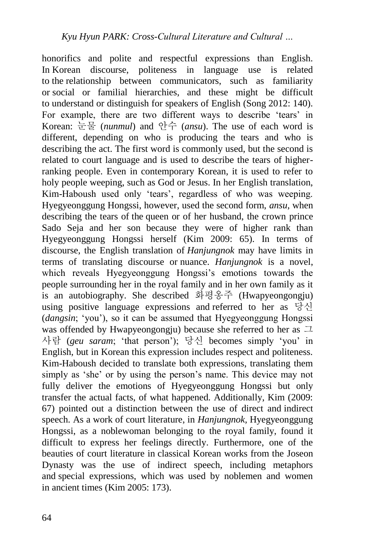honorifics and polite and respectful expressions than English. In Korean discourse, politeness in language use is related to the relationship between communicators, such as familiarity or social or familial hierarchies, and these might be difficult to understand or distinguish for speakers of English (Song 2012: 140). For example, there are two different ways to describe 'tears' in Korean: 눈물 (*nunmul*) and 안수 (*ansu*). The use of each word is different, depending on who is producing the tears and who is describing the act. The first word is commonly used, but the second is related to court language and is used to describe the tears of higherranking people. Even in contemporary Korean, it is used to refer to holy people weeping, such as God or Jesus. In her English translation, Kim-Haboush used only 'tears', regardless of who was weeping. Hyegyeonggung Hongssi, however, used the second form, *ansu*, when describing the tears of the queen or of her husband, the crown prince Sado Seja and her son because they were of higher rank than Hyegyeonggung Hongssi herself (Kim 2009: 65). In terms of discourse, the English translation of *Hanjungnok* may have limits in terms of translating discourse or nuance. *Hanjungnok* is a novel, which reveals Hyegyeonggung Hongssi's emotions towards the people surrounding her in the royal family and in her own family as it is an autobiography. She described 화평옹주 (Hwapyeongongju) using positive language expressions and referred to her as  $\vec{\theta}$ (*dangsin*; 'you'), so it can be assumed that Hyegyeonggung Hongssi was offended by Hwapyeongongju) because she referred to her as  $\Box$ 사람 (*geu saram*; 'that person'); 당신 becomes simply 'you' in English, but in Korean this expression includes respect and politeness. Kim-Haboush decided to translate both expressions, translating them simply as 'she' or by using the person's name. This device may not fully deliver the emotions of Hyegyeonggung Hongssi but only transfer the actual facts, of what happened. Additionally, Kim (2009: 67) pointed out a distinction between the use of direct and indirect speech. As a work of court literature, in *Hanjungnok,* Hyegyeonggung Hongssi, as a noblewoman belonging to the royal family, found it difficult to express her feelings directly. Furthermore, one of the beauties of court literature in classical Korean works from the Joseon Dynasty was the use of indirect speech, including metaphors and special expressions, which was used by noblemen and women in ancient times (Kim 2005: 173).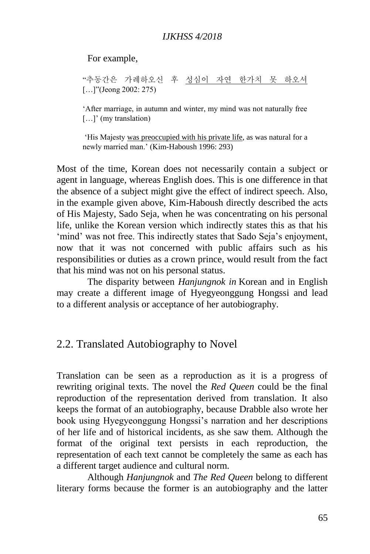For example,

"추동간은 가례하오신 후 성심이 자연 한가치 못 하오셔 [...]"(Jeong 2002: 275)

'After marriage, in autumn and winter, my mind was not naturally free [...]' (my translation)

'His Majesty was preoccupied with his private life, as was natural for a newly married man.' (Kim-Haboush 1996: 293)

Most of the time, Korean does not necessarily contain a subject or agent in language, whereas English does. This is one difference in that the absence of a subject might give the effect of indirect speech. Also, in the example given above, Kim-Haboush directly described the acts of His Majesty, Sado Seja, when he was concentrating on his personal life, unlike the Korean version which indirectly states this as that his 'mind' was not free. This indirectly states that Sado Seja's enjoyment, now that it was not concerned with public affairs such as his responsibilities or duties as a crown prince, would result from the fact that his mind was not on his personal status.

The disparity between *Hanjungnok in* Korean and in English may create a different image of Hyegyeonggung Hongssi and lead to a different analysis or acceptance of her autobiography.

### 2.2. Translated Autobiography to Novel

Translation can be seen as a reproduction as it is a progress of rewriting original texts. The novel the *Red Queen* could be the final reproduction of the representation derived from translation. It also keeps the format of an autobiography, because Drabble also wrote her book using Hyegyeonggung Hongssi's narration and her descriptions of her life and of historical incidents, as she saw them. Although the format of the original text persists in each reproduction, the representation of each text cannot be completely the same as each has a different target audience and cultural norm.

Although *Hanjungnok* and *The Red Queen* belong to different literary forms because the former is an autobiography and the latter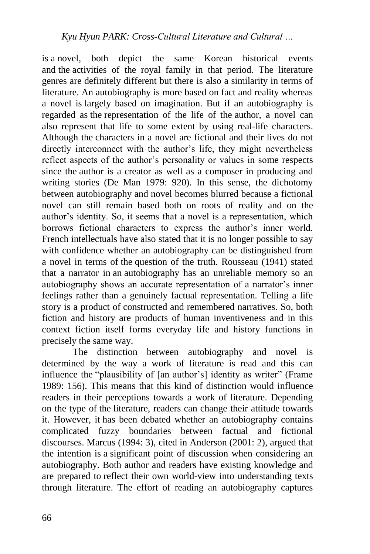is a novel, both depict the same Korean historical events and the activities of the royal family in that period. The literature genres are definitely different but there is also a similarity in terms of literature. An autobiography is more based on fact and reality whereas a novel is largely based on imagination. But if an autobiography is regarded as the representation of the life of the author, a novel can also represent that life to some extent by using real-life characters. Although the characters in a novel are fictional and their lives do not directly interconnect with the author's life, they might nevertheless reflect aspects of the author's personality or values in some respects since the author is a creator as well as a composer in producing and writing stories (De Man 1979: 920). In this sense, the dichotomy between autobiography and novel becomes blurred because a fictional novel can still remain based both on roots of reality and on the author's identity. So, it seems that a novel is a representation, which borrows fictional characters to express the author's inner world. French intellectuals have also stated that it is no longer possible to say with confidence whether an autobiography can be distinguished from a novel in terms of the question of the truth. Rousseau (1941) stated that a narrator in an autobiography has an unreliable memory so an autobiography shows an accurate representation of a narrator's inner feelings rather than a genuinely factual representation. Telling a life story is a product of constructed and remembered narratives. So, both fiction and history are products of human inventiveness and in this context fiction itself forms everyday life and history functions in precisely the same way.

The distinction between autobiography and novel is determined by the way a work of literature is read and this can influence the "plausibility of [an author's] identity as writer" (Frame 1989: 156). This means that this kind of distinction would influence readers in their perceptions towards a work of literature. Depending on the type of the literature, readers can change their attitude towards it. However, it has been debated whether an autobiography contains complicated fuzzy boundaries between factual and fictional discourses. Marcus (1994: 3), cited in Anderson (2001: 2), argued that the intention is a significant point of discussion when considering an autobiography. Both author and readers have existing knowledge and are prepared to reflect their own world-view into understanding texts through literature. The effort of reading an autobiography captures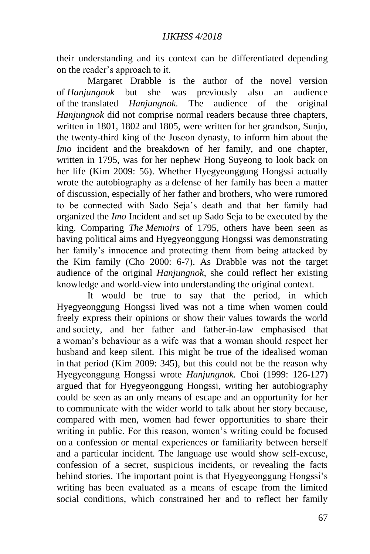their understanding and its context can be differentiated depending on the reader's approach to it.

Margaret Drabble is the author of the novel version of *Hanjungnok* but she was previously also an audience of the translated *Hanjungnok.* The audience of the original *Hanjungnok* did not comprise normal readers because three chapters, written in 1801, 1802 and 1805, were written for her grandson, Sunjo, the twenty-third king of the Joseon dynasty, to inform him about the *Imo* incident and the breakdown of her family, and one chapter, written in 1795, was for her nephew Hong Suyeong to look back on her life (Kim 2009: 56). Whether Hyegyeonggung Hongssi actually wrote the autobiography as a defense of her family has been a matter of discussion, especially of her father and brothers, who were rumored to be connected with Sado Seja's death and that her family had organized the *Imo* Incident and set up Sado Seja to be executed by the king. Comparing *The Memoirs* of 1795, others have been seen as having political aims and Hyegyeonggung Hongssi was demonstrating her family's innocence and protecting them from being attacked by the Kim family (Cho 2000: 6-7). As Drabble was not the target audience of the original *Hanjungnok,* she could reflect her existing knowledge and world-view into understanding the original context.

It would be true to say that the period, in which Hyegyeonggung Hongssi lived was not a time when women could freely express their opinions or show their values towards the world and society, and her father and father-in-law emphasised that a woman's behaviour as a wife was that a woman should respect her husband and keep silent. This might be true of the idealised woman in that period (Kim 2009: 345), but this could not be the reason why Hyegyeonggung Hongssi wrote *Hanjungnok.* Choi (1999: 126-127) argued that for Hyegyeonggung Hongssi, writing her autobiography could be seen as an only means of escape and an opportunity for her to communicate with the wider world to talk about her story because, compared with men, women had fewer opportunities to share their writing in public. For this reason, women's writing could be focused on a confession or mental experiences or familiarity between herself and a particular incident. The language use would show self-excuse, confession of a secret, suspicious incidents, or revealing the facts behind stories. The important point is that Hyegyeonggung Hongssi's writing has been evaluated as a means of escape from the limited social conditions, which constrained her and to reflect her family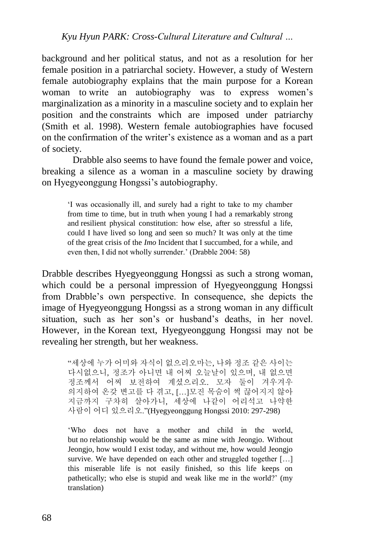background and her political status, and not as a resolution for her female position in a patriarchal society. However, a study of Western female autobiography explains that the main purpose for a Korean woman to write an autobiography was to express women's marginalization as a minority in a masculine society and to explain her position and the constraints which are imposed under patriarchy (Smith et al. 1998). Western female autobiographies have focused on the confirmation of the writer's existence as a woman and as a part of society.

Drabble also seems to have found the female power and voice, breaking a silence as a woman in a masculine society by drawing on Hyegyeonggung Hongssi's autobiography.

'I was occasionally ill, and surely had a right to take to my chamber from time to time, but in truth when young I had a remarkably strong and resilient physical constitution: how else, after so stressful a life, could I have lived so long and seen so much? It was only at the time of the great crisis of the *Imo* Incident that I succumbed, for a while, and even then, I did not wholly surrender.' (Drabble 2004: 58)

Drabble describes Hyegyeonggung Hongssi as such a strong woman, which could be a personal impression of Hyegyeonggung Hongssi from Drabble's own perspective. In consequence, she depicts the image of Hyegyeonggung Hongssi as a strong woman in any difficult situation, such as her son's or husband's deaths, in her novel. However, in the Korean text, Hyegyeonggung Hongssi may not be revealing her strength, but her weakness.

"세상에 누가 어미와 자식이 없으리오마는, 나와 정조 같은 사이는 다시없으니, 정조가 아니면 내 어찌 오늘날이 있으며, 내 없으면 정조께서 어찌 보전하여 계셨으리오. 모자 둘이 겨우겨우 의지하여 온갖 변고를 다 겪고, […]모진 목숨이 썩 끊어지지 않아 지금까지 구차히 살아가니, 세상에 나같이 어리석고 나약한 사람이 어디 있으리오."(Hyegyeonggung Hongssi 2010: 297-298)

'Who does not have a mother and child in the world, but no relationship would be the same as mine with Jeongjo. Without Jeongjo, how would I exist today, and without me, how would Jeongjo survive. We have depended on each other and struggled together [...] this miserable life is not easily finished, so this life keeps on pathetically; who else is stupid and weak like me in the world?' (my translation)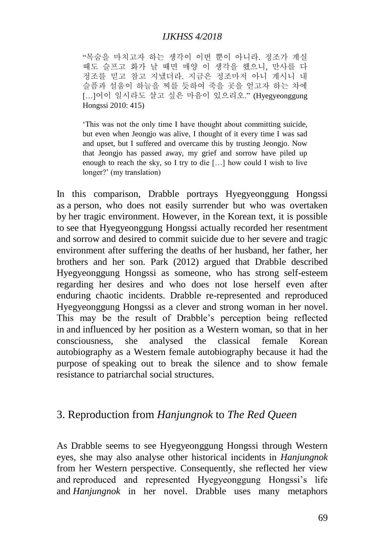"목숨을 마치고자 하는 생각이 이번 뿐이 아니라. 정조가 계실 때도 슬프고 화가 날 때면 매양 이 생각을 했으니, 만사를 다 정조를 믿고 참고 지냈더라. 지금은 정조마저 아니 계시니 내 슬픔과 설움이 하늘을 찌를 듯하여 죽을 곳을 얻고자 하는 차에 […]어이 일시라도 살고 싶은 마음이 있으리오." (Hyegyeonggung Hongssi 2010: 415)

'This was not the only time I have thought about committing suicide, but even when Jeongjo was alive, I thought of it every time I was sad and upset, but I suffered and overcame this by trusting Jeongjo. Now that Jeongjo has passed away, my grief and sorrow have piled up enough to reach the sky, so I try to die […] how could I wish to live longer?' (my translation)

In this comparison, Drabble portrays Hyegyeonggung Hongssi as a person, who does not easily surrender but who was overtaken by her tragic environment. However, in the Korean text, it is possible to see that Hyegyeonggung Hongssi actually recorded her resentment and sorrow and desired to commit suicide due to her severe and tragic environment after suffering the deaths of her husband, her father, her brothers and her son. Park (2012) argued that Drabble described Hyegyeonggung Hongssi as someone, who has strong self-esteem regarding her desires and who does not lose herself even after enduring chaotic incidents. Drabble re-represented and reproduced Hyegyeonggung Hongssi as a clever and strong woman in her novel. This may be the result of Drabble's perception being reflected in and influenced by her position as a Western woman, so that in her consciousness, she analysed the classical female Korean autobiography as a Western female autobiography because it had the purpose of speaking out to break the silence and to show female resistance to patriarchal social structures.

### 3. Reproduction from *Hanjungnok* to *The Red Queen*

As Drabble seems to see Hyegyeonggung Hongssi through Western eyes, she may also analyse other historical incidents in *Hanjungnok* from her Western perspective. Consequently, she reflected her view and reproduced and represented Hyegyeonggung Hongssi's life and *Hanjungnok* in her novel. Drabble uses many metaphors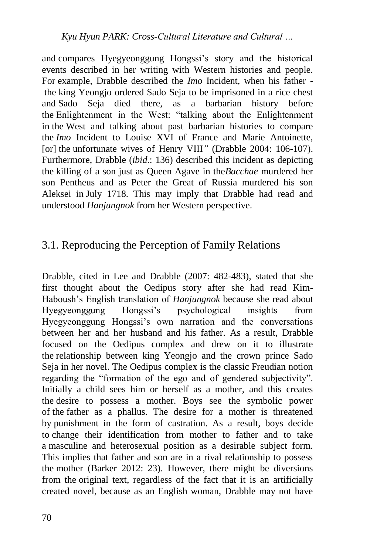and compares Hyegyeonggung Hongssi's story and the historical events described in her writing with Western histories and people. For example, Drabble described the *Imo* Incident, when his father the king Yeongjo ordered Sado Seja to be imprisoned in a rice chest and Sado Seja died there, as a barbarian history before the Enlightenment in the West: "talking about the Enlightenment in the West and talking about past barbarian histories to compare the *Imo* Incident to Louise XVI of France and Marie Antoinette, [or] the unfortunate wives of Henry VIII*"* (Drabble 2004: 106-107). Furthermore, Drabble (*ibid*.: 136) described this incident as depicting the killing of a son just as Queen Agave in the*Bacchae* murdered her son Pentheus and as Peter the Great of Russia murdered his son Aleksei in July 1718. This may imply that Drabble had read and understood *Hanjungnok* from her Western perspective.

# 3.1. Reproducing the Perception of Family Relations

Drabble, cited in Lee and Drabble (2007: 482-483), stated that she first thought about the Oedipus story after she had read Kim-Haboush's English translation of *Hanjungnok* because she read about Hyegyeonggung Hongssi's psychological insights from Hyegyeonggung Hongssi's own narration and the conversations between her and her husband and his father. As a result, Drabble focused on the Oedipus complex and drew on it to illustrate the relationship between king Yeongjo and the crown prince Sado Seja in her novel. The Oedipus complex is the classic Freudian notion regarding the "formation of the ego and of gendered subjectivity". Initially a child sees him or herself as a mother, and this creates the desire to possess a mother. Boys see the symbolic power of the father as a phallus. The desire for a mother is threatened by punishment in the form of castration. As a result, boys decide to change their identification from mother to father and to take a masculine and heterosexual position as a desirable subject form. This implies that father and son are in a rival relationship to possess the mother (Barker 2012: 23). However, there might be diversions from the original text, regardless of the fact that it is an artificially created novel, because as an English woman, Drabble may not have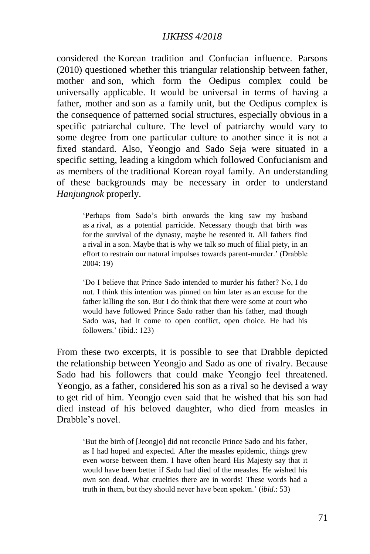considered the Korean tradition and Confucian influence. Parsons (2010) questioned whether this triangular relationship between father, mother and son, which form the Oedipus complex could be universally applicable. It would be universal in terms of having a father, mother and son as a family unit, but the Oedipus complex is the consequence of patterned social structures, especially obvious in a specific patriarchal culture. The level of patriarchy would vary to some degree from one particular culture to another since it is not a fixed standard. Also, Yeongjo and Sado Seja were situated in a specific setting, leading a kingdom which followed Confucianism and as members of the traditional Korean royal family. An understanding of these backgrounds may be necessary in order to understand *Hanjungnok* properly.

'Perhaps from Sado's birth onwards the king saw my husband as a rival, as a potential parricide. Necessary though that birth was for the survival of the dynasty, maybe he resented it. All fathers find a rival in a son. Maybe that is why we talk so much of filial piety, in an effort to restrain our natural impulses towards parent-murder.' (Drabble 2004: 19)

'Do I believe that Prince Sado intended to murder his father? No, I do not. I think this intention was pinned on him later as an excuse for the father killing the son. But I do think that there were some at court who would have followed Prince Sado rather than his father, mad though Sado was, had it come to open conflict, open choice. He had his followers.' (ibid.: 123)

From these two excerpts, it is possible to see that Drabble depicted the relationship between Yeongjo and Sado as one of rivalry. Because Sado had his followers that could make Yeongjo feel threatened. Yeongjo, as a father, considered his son as a rival so he devised a way to get rid of him. Yeongjo even said that he wished that his son had died instead of his beloved daughter, who died from measles in Drabble's novel.

'But the birth of [Jeongjo] did not reconcile Prince Sado and his father, as I had hoped and expected. After the measles epidemic, things grew even worse between them. I have often heard His Majesty say that it would have been better if Sado had died of the measles. He wished his own son dead. What cruelties there are in words! These words had a truth in them, but they should never have been spoken.' (*ibid*.: 53)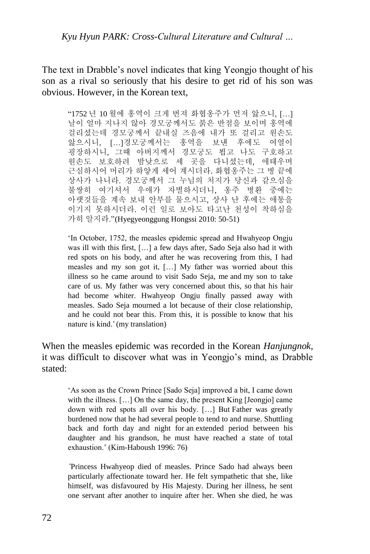The text in Drabble's novel indicates that king Yeongjo thought of his son as a rival so seriously that his desire to get rid of his son was obvious. However, in the Korean text,

"1752 년 10 월에 홍역이 크게 번져 화협옹주가 먼저 앓으니, […] 날이 얼마 지나지 않아 경모궁께서도 붉은 반점을 보이며 홍역에 걸리셨는데 경모궁께서 끝내실 즈음에 내가 또 걸리고 원손도 앓으시니, […]경모궁께서는 홍역을 보낸 후에도 여열이 굉장하시니, 그때 아버지께서 경모궁도 뵙고 나도 구호하고 원손도 보호하려 밤낮으로 세 곳을 다니셨는데, 애태우며 근심하시어 머리가 하얗게 세어 계시더라. 화협옹주는 그 병 끝에 상사가 나니라. 경모궁께서 그 누님의 처지가 당신과 같으심을 불쌍히 여기셔서 우애가 자별하시더니, 옹주 병환 중에는 아랫것들을 계속 보내 안부를 물으시고, 상사 난 후에는 애통을 이기지 못하시더라. 이런 일로 보아도 타고난 천성이 착하심을 가히 알지라."(Hyegyeonggung Hongssi 2010: 50-51)

'In October, 1752, the measles epidemic spread and Hwahyeop Ongju was ill with this first, […] a few days after, Sado Seja also had it with red spots on his body, and after he was recovering from this, I had measles and my son got it, […] My father was worried about this illness so he came around to visit Sado Seja, me and my son to take care of us. My father was very concerned about this, so that his hair had become whiter. Hwahyeop Ongju finally passed away with measles. Sado Seja mourned a lot because of their close relationship, and he could not bear this. From this, it is possible to know that his nature is kind.'(my translation)

When the measles epidemic was recorded in the Korean *Hanjungnok*, it was difficult to discover what was in Yeongjo's mind, as Drabble stated:

'As soon as the Crown Prince [Sado Seja] improved a bit, I came down with the illness. [...] On the same day, the present King [Jeongjo] came down with red spots all over his body. […] But Father was greatly burdened now that he had several people to tend to and nurse. Shuttling back and forth day and night for an extended period between his daughter and his grandson, he must have reached a state of total exhaustion.' (Kim-Haboush 1996: 76)

*'*Princess Hwahyeop died of measles. Prince Sado had always been particularly affectionate toward her. He felt sympathetic that she, like himself, was disfavoured by His Majesty. During her illness, he sent one servant after another to inquire after her. When she died, he was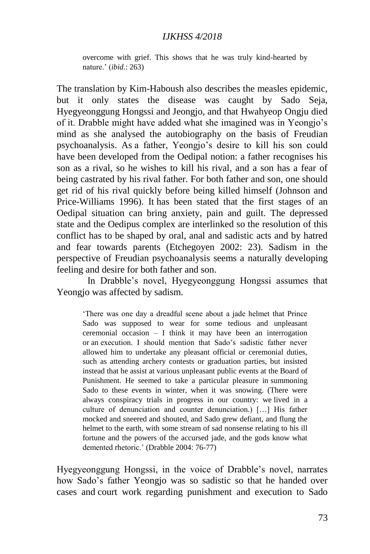overcome with grief. This shows that he was truly kind-hearted by nature.' (*ibid*.: 263)

The translation by Kim-Haboush also describes the measles epidemic, but it only states the disease was caught by Sado Seja, Hyegyeonggung Hongssi and Jeongjo, and that Hwahyeop Ongju died of it. Drabble might have added what she imagined was in Yeongjo's mind as she analysed the autobiography on the basis of Freudian psychoanalysis. As a father, Yeongjo's desire to kill his son could have been developed from the Oedipal notion: a father recognises his son as a rival, so he wishes to kill his rival, and a son has a fear of being castrated by his rival father. For both father and son, one should get rid of his rival quickly before being killed himself (Johnson and Price-Williams 1996). It has been stated that the first stages of an Oedipal situation can bring anxiety, pain and guilt. The depressed state and the Oedipus complex are interlinked so the resolution of this conflict has to be shaped by oral, anal and sadistic acts and by hatred and fear towards parents (Etchegoyen 2002: 23). Sadism in the perspective of Freudian psychoanalysis seems a naturally developing feeling and desire for both father and son.

In Drabble's novel, Hyegyeonggung Hongssi assumes that Yeongio was affected by sadism.

'There was one day a dreadful scene about a jade helmet that Prince Sado was supposed to wear for some tedious and unpleasant ceremonial occasion – I think it may have been an interrogation or an execution. I should mention that Sado's sadistic father never allowed him to undertake any pleasant official or ceremonial duties, such as attending archery contests or graduation parties, but insisted instead that he assist at various unpleasant public events at the Board of Punishment. He seemed to take a particular pleasure in summoning Sado to these events in winter, when it was snowing. (There were always conspiracy trials in progress in our country: we lived in a culture of denunciation and counter denunciation.) […] His father mocked and sneered and shouted, and Sado grew defiant, and flung the helmet to the earth, with some stream of sad nonsense relating to his ill fortune and the powers of the accursed jade, and the gods know what demented rhetoric.' (Drabble 2004: 76-77)

Hyegyeonggung Hongssi, in the voice of Drabble's novel, narrates how Sado's father Yeongjo was so sadistic so that he handed over cases and court work regarding punishment and execution to Sado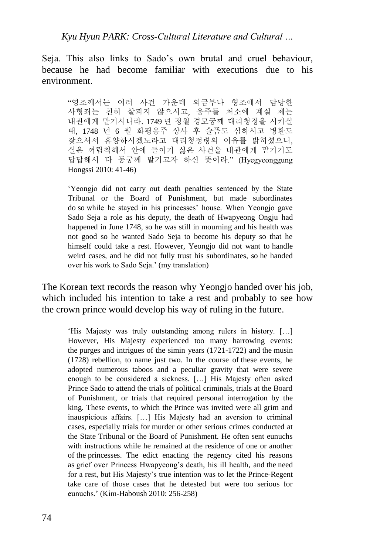Seja. This also links to Sado's own brutal and cruel behaviour, because he had become familiar with executions due to his environment.

"영조께서는 여러 사건 가운데 의금부나 형조에서 담당한 사형죄는 친히 살피지 않으시고, 옹주들 처소에 계실 제는 내관에게 맡기시니라. 1749 년 정월 경모궁께 대리청정을 시키실 때, 1748 년 6 월 화평옹주 상사 후 슬픔도 심하시고 병환도 잦으셔서 휴양하시겠노라고 대리청정령의 이유를 밝히셨으니, 실은 꺼림칙해서 안에 들이기 싫은 사건을 내관에게 맡기기도 답답해서 다 동궁께 맡기고자 하신 뜻이라." (Hyegyeonggung Hongssi 2010: 41-46)

'Yeongjo did not carry out death penalties sentenced by the State Tribunal or the Board of Punishment, but made subordinates do so while he stayed in his princesses' house. When Yeongjo gave Sado Seja a role as his deputy, the death of Hwapyeong Ongju had happened in June 1748, so he was still in mourning and his health was not good so he wanted Sado Seja to become his deputy so that he himself could take a rest. However, Yeongjo did not want to handle weird cases, and he did not fully trust his subordinates, so he handed over his work to Sado Seja.' (my translation)

The Korean text records the reason why Yeongjo handed over his job, which included his intention to take a rest and probably to see how the crown prince would develop his way of ruling in the future.

'His Majesty was truly outstanding among rulers in history. […] However, His Majesty experienced too many harrowing events: the purges and intrigues of the simin years (1721-1722) and the musin (1728) rebellion, to name just two. In the course of these events, he adopted numerous taboos and a peculiar gravity that were severe enough to be considered a sickness. […] His Majesty often asked Prince Sado to attend the trials of political criminals, trials at the Board of Punishment, or trials that required personal interrogation by the king. These events, to which the Prince was invited were all grim and inauspicious affairs. […] His Majesty had an aversion to criminal cases, especially trials for murder or other serious crimes conducted at the State Tribunal or the Board of Punishment. He often sent eunuchs with instructions while he remained at the residence of one or another of the princesses. The edict enacting the regency cited his reasons as grief over Princess Hwapyeong's death, his ill health, and the need for a rest, but His Majesty's true intention was to let the Prince-Regent take care of those cases that he detested but were too serious for eunuchs.' (Kim-Haboush 2010: 256-258)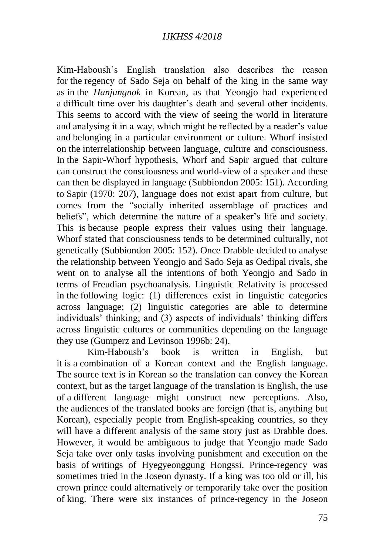Kim-Haboush's English translation also describes the reason for the regency of Sado Seja on behalf of the king in the same way as in the *Hanjungnok* in Korean, as that Yeongjo had experienced a difficult time over his daughter's death and several other incidents. This seems to accord with the view of seeing the world in literature and analysing it in a way, which might be reflected by a reader's value and belonging in a particular environment or culture. Whorf insisted on the interrelationship between language, culture and consciousness. In the Sapir-Whorf hypothesis, Whorf and Sapir argued that culture can construct the consciousness and world-view of a speaker and these can then be displayed in language (Subbiondon 2005: 151). According to Sapir (1970: 207), language does not exist apart from culture, but comes from the "socially inherited assemblage of practices and beliefs", which determine the nature of a speaker's life and society. This is because people express their values using their language. Whorf stated that consciousness tends to be determined culturally, not genetically (Subbiondon 2005: 152). Once Drabble decided to analyse the relationship between Yeongjo and Sado Seja as Oedipal rivals, she went on to analyse all the intentions of both Yeongjo and Sado in terms of Freudian psychoanalysis. Linguistic Relativity is processed in the following logic: (1) differences exist in linguistic categories across language; (2) linguistic categories are able to determine individuals' thinking; and (3) aspects of individuals' thinking differs across linguistic cultures or communities depending on the language they use (Gumperz and Levinson 1996b: 24).

Kim-Haboush's book is written in English, but it is a combination of a Korean context and the English language. The source text is in Korean so the translation can convey the Korean context, but as the target language of the translation is English, the use of a different language might construct new perceptions. Also, the audiences of the translated books are foreign (that is, anything but Korean), especially people from English-speaking countries, so they will have a different analysis of the same story just as Drabble does. However, it would be ambiguous to judge that Yeongjo made Sado Seja take over only tasks involving punishment and execution on the basis of writings of Hyegyeonggung Hongssi. Prince-regency was sometimes tried in the Joseon dynasty. If a king was too old or ill, his crown prince could alternatively or temporarily take over the position of king. There were six instances of prince-regency in the Joseon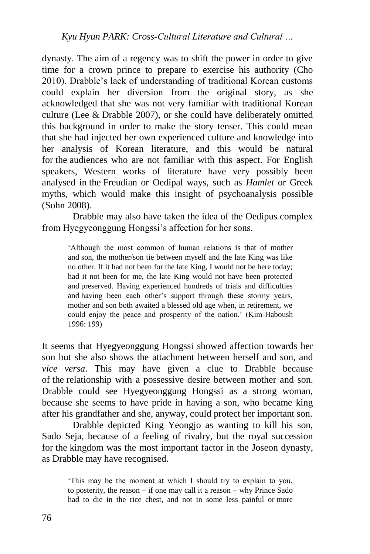dynasty. The aim of a regency was to shift the power in order to give time for a crown prince to prepare to exercise his authority (Cho 2010). Drabble's lack of understanding of traditional Korean customs could explain her diversion from the original story, as she acknowledged that she was not very familiar with traditional Korean culture (Lee & Drabble 2007), or she could have deliberately omitted this background in order to make the story tenser. This could mean that she had injected her own experienced culture and knowledge into her analysis of Korean literature, and this would be natural for the audiences who are not familiar with this aspect. For English speakers, Western works of literature have very possibly been analysed in the Freudian or Oedipal ways, such as *Hamlet* or Greek myths, which would make this insight of psychoanalysis possible (Sohn 2008).

Drabble may also have taken the idea of the Oedipus complex from Hyegyeonggung Hongssi's affection for her sons.

'Although the most common of human relations is that of mother and son, the mother/son tie between myself and the late King was like no other. If it had not been for the late King, I would not be here today; had it not been for me, the late King would not have been protected and preserved. Having experienced hundreds of trials and difficulties and having been each other's support through these stormy years, mother and son both awaited a blessed old age when, in retirement, we could enjoy the peace and prosperity of the nation.' (Kim-Haboush 1996: 199)

It seems that Hyegyeonggung Hongssi showed affection towards her son but she also shows the attachment between herself and son, and *vice versa*. This may have given a clue to Drabble because of the relationship with a possessive desire between mother and son. Drabble could see Hyegyeonggung Hongssi as a strong woman, because she seems to have pride in having a son, who became king after his grandfather and she, anyway, could protect her important son.

Drabble depicted King Yeongjo as wanting to kill his son, Sado Seja, because of a feeling of rivalry, but the royal succession for the kingdom was the most important factor in the Joseon dynasty, as Drabble may have recognised.

'This may be the moment at which I should try to explain to you, to posterity, the reason – if one may call it a reason – why Prince Sado had to die in the rice chest, and not in some less painful or more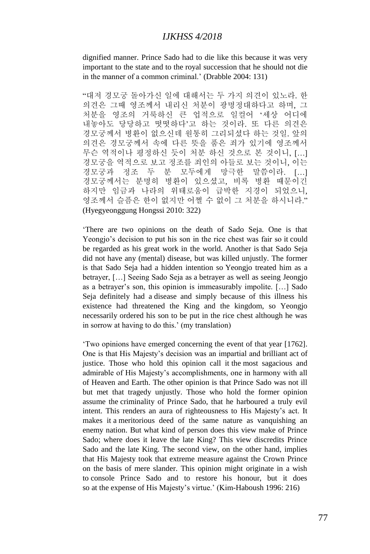dignified manner. Prince Sado had to die like this because it was very important to the state and to the royal succession that he should not die in the manner of a common criminal.' (Drabble 2004: 131)

"대저 경모궁 돌아가신 일에 대해서는 두 가지 의견이 있노라. 한 의견은 그때 영조께서 내리신 처분이 광명정대하다고 하며, 그 처분을 영조의 거룩하신 큰 업적으로 일컬어 '세상 어디에 내놓아도 당당하고 떳떳하다'고 하는 것이라. 또 다른 의견은 경모궁께서 병환이 없으신데 원통히 그리되셨다 하는 것일. 앞의 의견은 경모궁께서 속에 다른 뜻을 품은 죄가 있기에 영조께서 무슨 역적이나 평정하신 듯이 처분 하신 것으로 본 것이니, […] 경모궁을 역적으로 보고 정조를 죄인의 아들로 보는 것이니, 이는 경모궁과 정조 두 분 모두에게 망극한 말씀이라. […] 경모궁께서는 분명히 병환이 있으셨고, 비록 병환 때문이긴 하지만 임금과 나라의 위태로움이 급박한 지경이 되었으니, 영조께서 슬픔은 한이 없지만 어쩔 수 없이 그 처분을 하시니라." (Hyegyeonggung Hongssi 2010: 322)

'There are two opinions on the death of Sado Seja. One is that Yeongjo's decision to put his son in the rice chest was fair so it could be regarded as his great work in the world. Another is that Sado Seja did not have any (mental) disease, but was killed unjustly. The former is that Sado Seja had a hidden intention so Yeongjo treated him as a betrayer, […] Seeing Sado Seja as a betrayer as well as seeing Jeongjo as a betrayer's son, this opinion is immeasurably impolite. […] Sado Seja definitely had a disease and simply because of this illness his existence had threatened the King and the kingdom, so Yeongjo necessarily ordered his son to be put in the rice chest although he was in sorrow at having to do this.' (my translation)

'Two opinions have emerged concerning the event of that year [1762]. One is that His Majesty's decision was an impartial and brilliant act of justice. Those who hold this opinion call it the most sagacious and admirable of His Majesty's accomplishments, one in harmony with all of Heaven and Earth. The other opinion is that Prince Sado was not ill but met that tragedy unjustly. Those who hold the former opinion assume the criminality of Prince Sado, that he harboured a truly evil intent. This renders an aura of righteousness to His Majesty's act. It makes it a meritorious deed of the same nature as vanquishing an enemy nation. But what kind of person does this view make of Prince Sado; where does it leave the late King? This view discredits Prince Sado and the late King. The second view, on the other hand, implies that His Majesty took that extreme measure against the Crown Prince on the basis of mere slander. This opinion might originate in a wish to console Prince Sado and to restore his honour, but it does so at the expense of His Majesty's virtue.' (Kim-Haboush 1996: 216)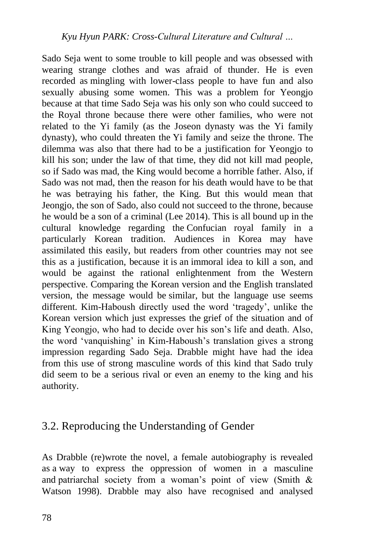Sado Seja went to some trouble to kill people and was obsessed with wearing strange clothes and was afraid of thunder. He is even recorded as mingling with lower-class people to have fun and also sexually abusing some women. This was a problem for Yeongjo because at that time Sado Seja was his only son who could succeed to the Royal throne because there were other families, who were not related to the Yi family (as the Joseon dynasty was the Yi family dynasty), who could threaten the Yi family and seize the throne. The dilemma was also that there had to be a justification for Yeongjo to kill his son; under the law of that time, they did not kill mad people, so if Sado was mad, the King would become a horrible father. Also, if Sado was not mad, then the reason for his death would have to be that he was betraying his father, the King. But this would mean that Jeongjo, the son of Sado, also could not succeed to the throne, because he would be a son of a criminal (Lee 2014). This is all bound up in the cultural knowledge regarding the Confucian royal family in a particularly Korean tradition. Audiences in Korea may have assimilated this easily, but readers from other countries may not see this as a justification, because it is an immoral idea to kill a son, and would be against the rational enlightenment from the Western perspective. Comparing the Korean version and the English translated version, the message would be similar, but the language use seems different. Kim-Haboush directly used the word 'tragedy', unlike the Korean version which just expresses the grief of the situation and of King Yeongjo, who had to decide over his son's life and death. Also, the word 'vanquishing' in Kim-Haboush's translation gives a strong impression regarding Sado Seja. Drabble might have had the idea from this use of strong masculine words of this kind that Sado truly did seem to be a serious rival or even an enemy to the king and his authority.

# 3.2. Reproducing the Understanding of Gender

As Drabble (re)wrote the novel, a female autobiography is revealed as a way to express the oppression of women in a masculine and patriarchal society from a woman's point of view (Smith & Watson 1998). Drabble may also have recognised and analysed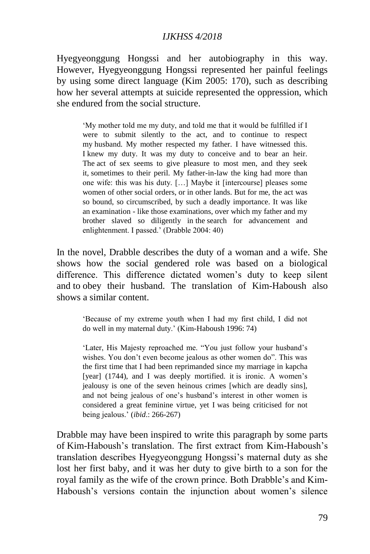Hyegyeonggung Hongssi and her autobiography in this way. However, Hyegyeonggung Hongssi represented her painful feelings by using some direct language (Kim 2005: 170), such as describing how her several attempts at suicide represented the oppression, which she endured from the social structure.

'My mother told me my duty, and told me that it would be fulfilled if I were to submit silently to the act, and to continue to respect my husband. My mother respected my father. I have witnessed this. I knew my duty. It was my duty to conceive and to bear an heir. The act of sex seems to give pleasure to most men, and they seek it, sometimes to their peril. My father-in-law the king had more than one wife: this was his duty. […] Maybe it [intercourse] pleases some women of other social orders, or in other lands. But for me, the act was so bound, so circumscribed, by such a deadly importance. It was like an examination - like those examinations, over which my father and my brother slaved so diligently in the search for advancement and enlightenment. I passed.' (Drabble 2004: 40)

In the novel, Drabble describes the duty of a woman and a wife. She shows how the social gendered role was based on a biological difference. This difference dictated women's duty to keep silent and to obey their husband. The translation of Kim-Haboush also shows a similar content.

'Because of my extreme youth when I had my first child, I did not do well in my maternal duty.' (Kim-Haboush 1996: 74)

'Later, His Majesty reproached me. "You just follow your husband's wishes. You don't even become jealous as other women do". This was the first time that I had been reprimanded since my marriage in kapcha [year] (1744), and I was deeply mortified. it is ironic. A women's jealousy is one of the seven heinous crimes [which are deadly sins], and not being jealous of one's husband's interest in other women is considered a great feminine virtue, yet I was being criticised for not being jealous.' (*ibid*.: 266-267)

Drabble may have been inspired to write this paragraph by some parts of Kim-Haboush's translation. The first extract from Kim-Haboush's translation describes Hyegyeonggung Hongssi's maternal duty as she lost her first baby, and it was her duty to give birth to a son for the royal family as the wife of the crown prince. Both Drabble's and Kim-Haboush's versions contain the injunction about women's silence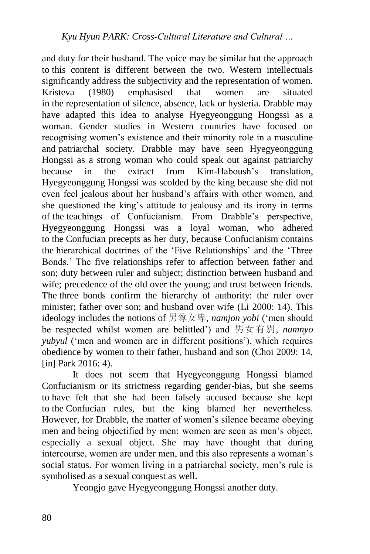and duty for their husband. The voice may be similar but the approach to this content is different between the two. Western intellectuals significantly address the subjectivity and the representation of women. Kristeva (1980) emphasised that women are situated in the representation of silence, absence, lack or hysteria. Drabble may have adapted this idea to analyse Hyegyeonggung Hongssi as a woman. Gender studies in Western countries have focused on recognising women's existence and their minority role in a masculine and patriarchal society. Drabble may have seen Hyegyeonggung Hongssi as a strong woman who could speak out against patriarchy because in the extract from Kim-Haboush's translation, Hyegyeonggung Hongssi was scolded by the king because she did not even feel jealous about her husband's affairs with other women, and she questioned the king's attitude to jealousy and its irony in terms of the teachings of Confucianism. From Drabble's perspective, Hyegyeonggung Hongssi was a loyal woman, who adhered to the Confucian precepts as her duty, because Confucianism contains the hierarchical doctrines of the 'Five Relationships' and the 'Three Bonds.' The five relationships refer to affection between father and son; duty between ruler and subject; distinction between husband and wife; precedence of the old over the young; and trust between friends. The three bonds confirm the hierarchy of authority: the ruler over minister; father over son; and husband over wife (Li 2000: 14). This ideology includes the notions of 男尊女卑*, namjon yobi* ('men should be respected whilst women are belittled') and 男女有別, *namnyo yubyul* ('men and women are in different positions'), which requires obedience by women to their father, husband and son (Choi 2009: 14, [in] Park 2016: 4).

It does not seem that Hyegyeonggung Hongssi blamed Confucianism or its strictness regarding gender-bias, but she seems to have felt that she had been falsely accused because she kept to the Confucian rules, but the king blamed her nevertheless. However, for Drabble, the matter of women's silence became obeying men and being objectified by men: women are seen as men's object, especially a sexual object. She may have thought that during intercourse, women are under men, and this also represents a woman's social status. For women living in a patriarchal society, men's rule is symbolised as a sexual conquest as well.

Yeongjo gave Hyegyeonggung Hongssi another duty.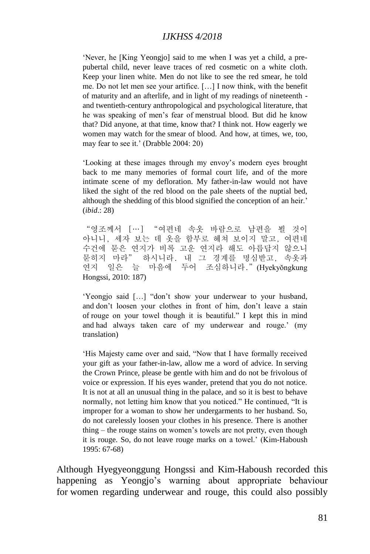'Never, he [King Yeongjo] said to me when I was yet a child, a prepubertal child, never leave traces of red cosmetic on a white cloth. Keep your linen white. Men do not like to see the red smear, he told me. Do not let men see your artifice. […] I now think, with the benefit of maturity and an afterlife, and in light of my readings of nineteenth and twentieth-century anthropological and psychological literature, that he was speaking of men's fear of menstrual blood. But did he know that? Did anyone, at that time, know that? I think not. How eagerly we women may watch for the smear of blood. And how, at times, we, too, may fear to see it.' (Drabble 2004: 20)

'Looking at these images through my envoy's modern eyes brought back to me many memories of formal court life, and of the more intimate scene of my defloration. My father-in-law would not have liked the sight of the red blood on the pale sheets of the nuptial bed, although the shedding of this blood signified the conception of an heir.' (*ibid*.: 28)

"영조께서 […] "여편네 속옷 바람으로 남편을 뵐 것이 아니니, 세자 보는 데 옷을 함부로 헤쳐 보이지 말고, 여편네 수건에 묻은 연지가 비록 고운 연지라 해도 아릅답지 않으니 묻히지 마라" 하시니라. 내 그 경계를 명심받고, 속옷과 연지 일은 늘 마음에 두어 조심하니라."(Hyekyŏngkung Hongssi, 2010: 187)

'Yeongjo said […] "don't show your underwear to your husband, and don't loosen your clothes in front of him, don't leave a stain of rouge on your towel though it is beautiful." I kept this in mind and had always taken care of my underwear and rouge.' (my translation)

'His Majesty came over and said, "Now that I have formally received your gift as your father-in-law, allow me a word of advice. In serving the Crown Prince, please be gentle with him and do not be frivolous of voice or expression. If his eyes wander, pretend that you do not notice. It is not at all an unusual thing in the palace, and so it is best to behave normally, not letting him know that you noticed." He continued, "It is improper for a woman to show her undergarments to her husband. So, do not carelessly loosen your clothes in his presence. There is another thing – the rouge stains on women's towels are not pretty, even though it is rouge. So, do not leave rouge marks on a towel.' (Kim-Haboush 1995: 67-68)

Although Hyegyeonggung Hongssi and Kim-Haboush recorded this happening as Yeongjo's warning about appropriate behaviour for women regarding underwear and rouge, this could also possibly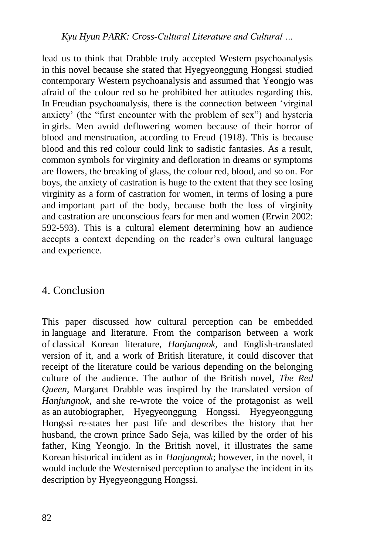lead us to think that Drabble truly accepted Western psychoanalysis in this novel because she stated that Hyegyeonggung Hongssi studied contemporary Western psychoanalysis and assumed that Yeongjo was afraid of the colour red so he prohibited her attitudes regarding this. In Freudian psychoanalysis, there is the connection between 'virginal anxiety' (the "first encounter with the problem of sex") and hysteria in girls. Men avoid deflowering women because of their horror of blood and menstruation, according to Freud (1918). This is because blood and this red colour could link to sadistic fantasies. As a result, common symbols for virginity and defloration in dreams or symptoms are flowers, the breaking of glass, the colour red, blood, and so on. For boys, the anxiety of castration is huge to the extent that they see losing virginity as a form of castration for women, in terms of losing a pure and important part of the body, because both the loss of virginity and castration are unconscious fears for men and women (Erwin 2002: 592-593). This is a cultural element determining how an audience accepts a context depending on the reader's own cultural language and experience.

# 4. Conclusion

This paper discussed how cultural perception can be embedded in language and literature. From the comparison between a work of classical Korean literature, *Hanjungnok*, and English-translated version of it, and a work of British literature, it could discover that receipt of the literature could be various depending on the belonging culture of the audience. The author of the British novel, *The Red Queen*, Margaret Drabble was inspired by the translated version of *Hanjungnok*, and she re-wrote the voice of the protagonist as well as an autobiographer, Hyegyeonggung Hongssi. Hyegyeonggung Hongssi re-states her past life and describes the history that her husband, the crown prince Sado Seja, was killed by the order of his father, King Yeongjo. In the British novel, it illustrates the same Korean historical incident as in *Hanjungnok*; however, in the novel, it would include the Westernised perception to analyse the incident in its description by Hyegyeonggung Hongssi.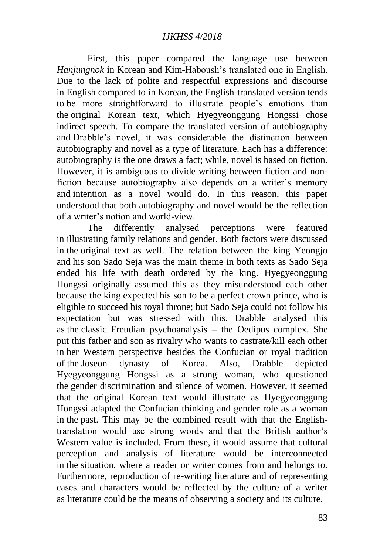First, this paper compared the language use between *Hanjungnok* in Korean and Kim-Haboush's translated one in English. Due to the lack of polite and respectful expressions and discourse in English compared to in Korean, the English-translated version tends to be more straightforward to illustrate people's emotions than the original Korean text, which Hyegyeonggung Hongssi chose indirect speech. To compare the translated version of autobiography and Drabble's novel, it was considerable the distinction between autobiography and novel as a type of literature. Each has a difference: autobiography is the one draws a fact; while, novel is based on fiction. However, it is ambiguous to divide writing between fiction and nonfiction because autobiography also depends on a writer's memory and intention as a novel would do. In this reason, this paper understood that both autobiography and novel would be the reflection of a writer's notion and world-view.

The differently analysed perceptions were featured in illustrating family relations and gender. Both factors were discussed in the original text as well. The relation between the king Yeongjo and his son Sado Seja was the main theme in both texts as Sado Seja ended his life with death ordered by the king. Hyegyeonggung Hongssi originally assumed this as they misunderstood each other because the king expected his son to be a perfect crown prince, who is eligible to succeed his royal throne; but Sado Seja could not follow his expectation but was stressed with this. Drabble analysed this as the classic Freudian psychoanalysis – the Oedipus complex. She put this father and son as rivalry who wants to castrate/kill each other in her Western perspective besides the Confucian or royal tradition of the Joseon dynasty of Korea. Also, Drabble depicted Hyegyeonggung Hongssi as a strong woman, who questioned the gender discrimination and silence of women. However, it seemed that the original Korean text would illustrate as Hyegyeonggung Hongssi adapted the Confucian thinking and gender role as a woman in the past. This may be the combined result with that the Englishtranslation would use strong words and that the British author's Western value is included. From these, it would assume that cultural perception and analysis of literature would be interconnected in the situation, where a reader or writer comes from and belongs to. Furthermore, reproduction of re-writing literature and of representing cases and characters would be reflected by the culture of a writer as literature could be the means of observing a society and its culture.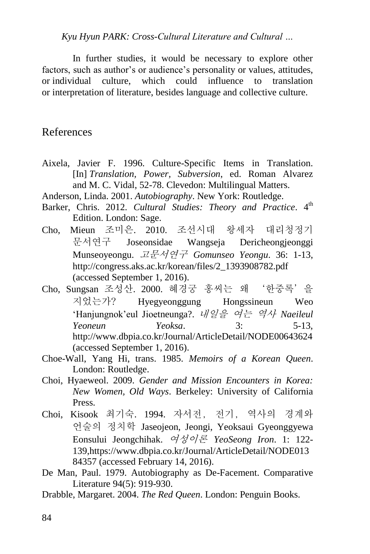*Kyu Hyun PARK: Cross-Cultural Literature and Cultural …*

In further studies, it would be necessary to explore other factors, such as author's or audience's personality or values, attitudes, or individual culture, which could influence to translation or interpretation of literature, besides language and collective culture.

### References

- Aixela, Javier F. 1996. Culture-Specific Items in Translation. [In] *Translation, Power, Subversion*, ed. Roman Alvarez and M. C. Vidal, 52-78. Clevedon: Multilingual Matters.
- Anderson, Linda. 2001. *Autobiography*. New York: Routledge.
- Barker, Chris. 2012. *Cultural Studies: Theory and Practice*. 4<sup>th</sup> Edition. London: Sage.
- Cho, Mieun 조미은. 2010. 조선시대 왕세자 대리청정기 문서연구 Joseonsidae Wangseja Dericheongjeonggi Munseoyeongu. 고문서연구 *Gomunseo Yeongu*. 36: 1-13, http://congress.aks.ac.kr/korean/files/2\_1393908782.pdf (accessed September 1, 2016).
- Cho, Sungsan 조성산. 2000. 혜경궁 홍씨는 왜 '한중록'을 지었는가? Hyegyeonggung Hongssineun Weo 'Hanjungnok'eul Jioetneunga?. 내일을 여는 역사 *Naeileul Yeoneun Yeoksa*. 3: 5-13, http://www.dbpia.co.kr/Journal/ArticleDetail/NODE00643624 (accessed September 1, 2016).
- Choe-Wall, Yang Hi, trans. 1985. *Memoirs of a Korean Queen*. London: Routledge.
- Choi, Hyaeweol. 2009. *Gender and Mission Encounters in Korea: New Women, Old Ways*. Berkeley: University of California Press.
- Choi, Kisook 최기숙. 1994. 자서전, 전기, 역사의 경계와 언술의 정치학 Jaseojeon, Jeongi, Yeoksaui Gyeonggyewa Eonsului Jeongchihak. 여성이론 *YeoSeong Iron*. 1: 122- 139,https://www.dbpia.co.kr/Journal/ArticleDetail/NODE013 84357 (accessed February 14, 2016).
- De Man, Paul. 1979. Autobiography as De-Facement. Comparative Literature 94(5): 919-930.
- Drabble, Margaret. 2004. *The Red Queen*. London: Penguin Books.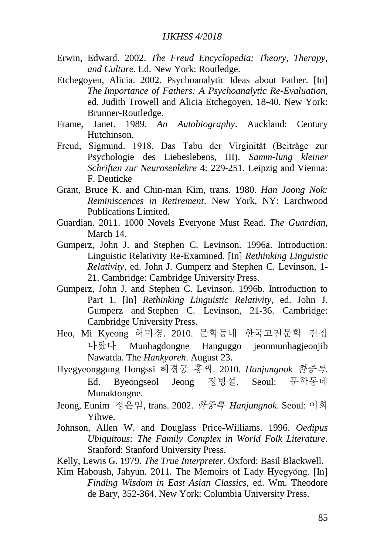- Erwin, Edward. 2002. *The Freud Encyclopedia: Theory, Therapy, and Culture*. Ed. New York: Routledge.
- Etchegoyen, Alicia. 2002. Psychoanalytic Ideas about Father. [In] *The Importance of Fathers: A Psychoanalytic Re-Evaluation*, ed. Judith Trowell and Alicia Etchegoyen, 18-40. New York: Brunner-Routledge.
- Frame, Janet. 1989. *An Autobiography*. Auckland: Century Hutchinson.
- Freud, Sigmund. 1918. Das Tabu der Virginität (Beiträge zur Psychologie des Liebeslebens, III). *Samm-lung kleiner Schriften zur Neurosenlehre* 4: 229-251. Leipzig and Vienna: F. Deuticke
- Grant, Bruce K. and Chin-man Kim, trans. 1980. *Han Joong Nok: Reminiscences in Retirement*. New York, NY: Larchwood Publications Limited.
- Guardian. 2011. 1000 Novels Everyone Must Read. *The Guardian*, March 14.
- Gumperz, John J. and Stephen C. Levinson. 1996a. Introduction: Linguistic Relativity Re-Examined. [In] *Rethinking Linguistic Relativity*, ed. John J. Gumperz and Stephen C. Levinson, 1- 21. Cambridge: Cambridge University Press.
- Gumperz, John J. and Stephen C. Levinson. 1996b. Introduction to Part 1. [In] *Rethinking Linguistic Relativity*, ed. John J. Gumperz and Stephen C. Levinson, 21-36. Cambridge: Cambridge University Press.
- Heo, Mi Kyeong 허미경. 2010. 문학동네 한국고전문학 전집 나왔다 Munhagdongne Hanguggo jeonmunhagjeonjib Nawatda. The *Hankyoreh*. August 23.
- Hyegyeonggung Hongssi 혜경궁 홍씨. 2010. *Hanjungnok* 한중록. Ed. Byeongseol Jeong 정병설. Seoul: 문학동네 Munaktongne.
- Jeong, Eunim 정은임, trans. 2002. 한중록 *Hanjungnok*. Seoul: 이회 Yihwe.
- Johnson, Allen W. and Douglass Price-Williams. 1996. *Oedipus Ubiquitous: The Family Complex in World Folk Literature*. Stanford: Stanford University Press.
- Kelly, Lewis G. 1979. *The True Interpreter*. Oxford: Basil Blackwell.
- Kim Haboush, Jahyun. 2011. The Memoirs of Lady Hyegyŏng. [In] *Finding Wisdom in East Asian Classics,* ed. Wm. Theodore de Bary, 352-364. New York: Columbia University Press.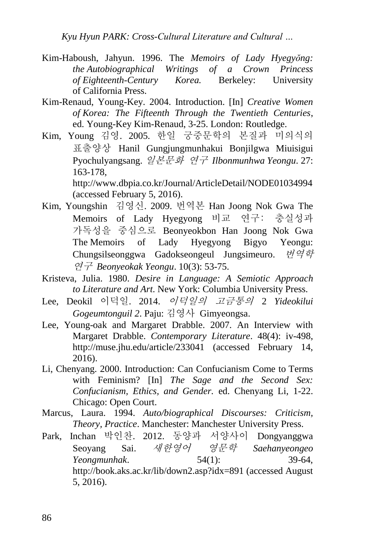*Kyu Hyun PARK: Cross-Cultural Literature and Cultural …*

- Kim-Haboush, Jahyun. 1996. The *Memoirs of Lady Hyegyŏng: the Autobiographical Writings of a Crown Princess of Eighteenth-Century Korea.* Berkeley: University of California Press.
- Kim-Renaud, Young-Key. 2004. Introduction. [In] *Creative Women of Korea: The Fifteenth Through the Twentieth Centuries*, ed. Young-Key Kim-Renaud, 3-25. London: Routledge.
- Kim, Young 김영. 2005. 한일 궁중문학의 본질과 미의식의 표출양상 Hanil Gungjungmunhakui Bonjilgwa Miuisigui Pyochulyangsang. 일본문화 연구 *Ilbonmunhwa Yeongu*. 27: 163-178, http://www.dbpia.co.kr/Journal/ArticleDetail/NODE01034994

(accessed February 5, 2016).

- Kim, Youngshin 김영신. 2009. 번역본 Han Joong Nok Gwa The Memoirs of Lady Hyegyong 비교 연구: 충실성과 가독성을 중심으로 Beonyeokbon Han Joong Nok Gwa The Memoirs of Lady Hyegyong Bigyo Yeongu: Chungsilseonggwa Gadokseongeul Jungsimeuro. 번역학 연구 *Beonyeokak Yeongu*. 10(3): 53-75.
- Kristeva, Julia. 1980. *Desire in Language: A Semiotic Approach to Literature and Art*. New York: Columbia University Press.
- Lee, Deokil 이덕일. 2014. 이덕일의 고금통의 2 *Yideokilui Gogeumtonguil 2*. Paju: 김영사 Gimyeongsa.
- Lee, Young-oak and Margaret Drabble. 2007. An Interview with Margaret Drabble. *Contemporary Literature*. 48(4): iv-498, http://muse.jhu.edu/article/233041 (accessed February 14, 2016).
- Li, Chenyang. 2000. Introduction: Can Confucianism Come to Terms with Feminism? [In] *The Sage and the Second Sex: Confucianism, Ethics, and Gender.* ed. Chenyang Li, 1-22. Chicago: Open Court.
- Marcus, Laura. 1994. *Auto/biographical Discourses: Criticism, Theory, Practice*. Manchester: Manchester University Press.
- Park, Inchan 박인찬. 2012. 동양과 서양사이 Dongyanggwa Seoyang Sai. 새한영어 영문학 *Saehanyeongeo Yeongmunhak*. 54(1): 39-64, http://book.aks.ac.kr/lib/down2.asp?idx=891 (accessed August 5, 2016).